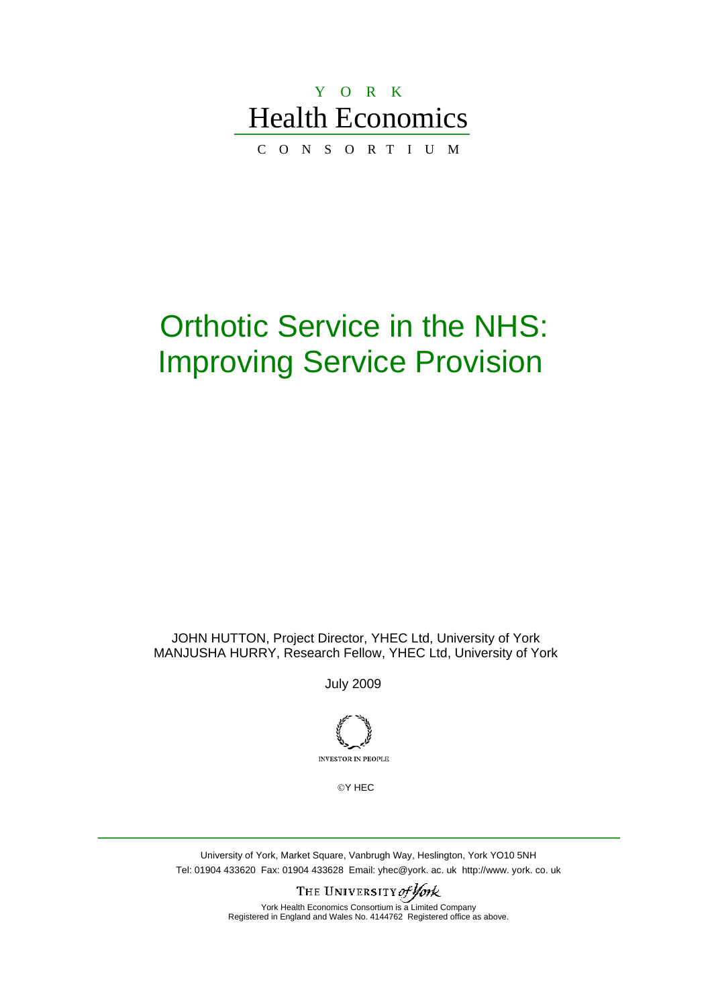# Y O R K Health Economics

C O N S O R T I U M

# Orthotic Service in the NHS: Improving Service Provision

JOHN HUTTON, Project Director, YHEC Ltd, University of York MANJUSHA HURRY, Research Fellow, YHEC Ltd, University of York

July 2009



©Y HEC

University of York, Market Square, Vanbrugh Way, Heslington, York YO10 5NH Tel: 01904 433620 Fax: 01904 433628 Email: yhec@york. ac. uk http://www. york. co. uk

> THE UNIVERSITY of York York Health Economics Consortium is a Limited Company Registered in England and Wales No. 4144762 Registered office as above.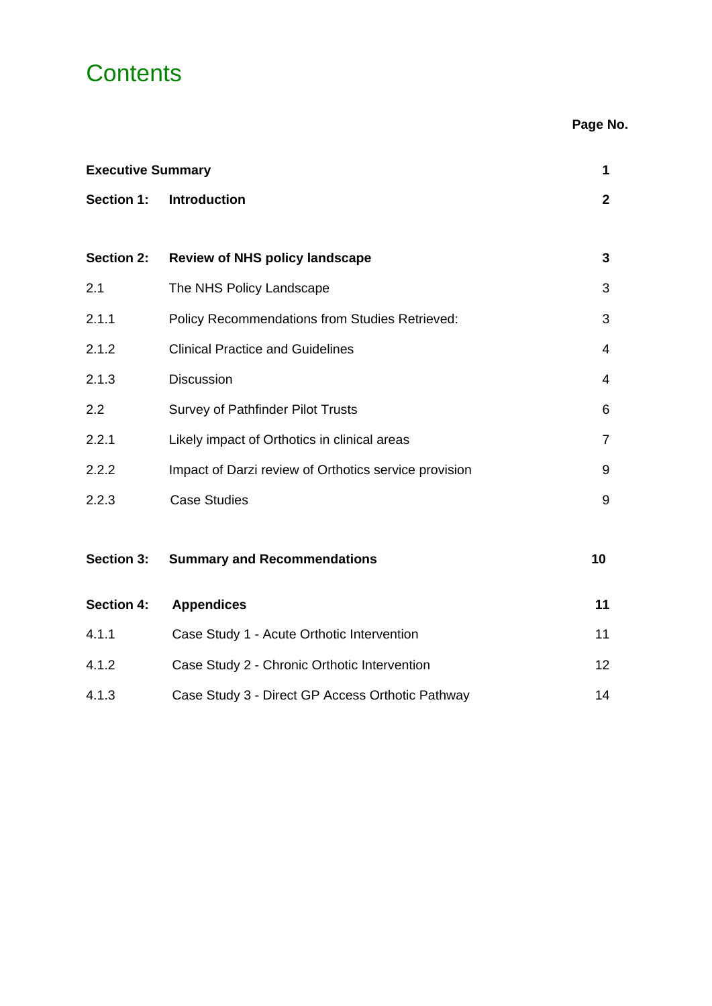# **Contents**

**Page No.** 

| <b>Executive Summary</b> |                                                       | 1               |
|--------------------------|-------------------------------------------------------|-----------------|
| Section 1:               | <b>Introduction</b>                                   | $\overline{2}$  |
|                          |                                                       |                 |
| <b>Section 2:</b>        | <b>Review of NHS policy landscape</b>                 | 3               |
| 2.1                      | The NHS Policy Landscape                              | 3               |
| 2.1.1                    | Policy Recommendations from Studies Retrieved:        | 3               |
| 2.1.2                    | <b>Clinical Practice and Guidelines</b>               | $\overline{4}$  |
| 2.1.3                    | <b>Discussion</b>                                     | 4               |
| 2.2                      | <b>Survey of Pathfinder Pilot Trusts</b>              | 6               |
| 2.2.1                    | Likely impact of Orthotics in clinical areas          | $\overline{7}$  |
| 2.2.2                    | Impact of Darzi review of Orthotics service provision | 9               |
| 2.2.3                    | <b>Case Studies</b>                                   | 9               |
|                          |                                                       |                 |
| <b>Section 3:</b>        | <b>Summary and Recommendations</b>                    | 10              |
| <b>Section 4:</b>        | <b>Appendices</b>                                     | 11              |
| 4.1.1                    | Case Study 1 - Acute Orthotic Intervention            | 11              |
| 4.1.2                    | Case Study 2 - Chronic Orthotic Intervention          | 12 <sub>2</sub> |
| 4.1.3                    | Case Study 3 - Direct GP Access Orthotic Pathway      | 14              |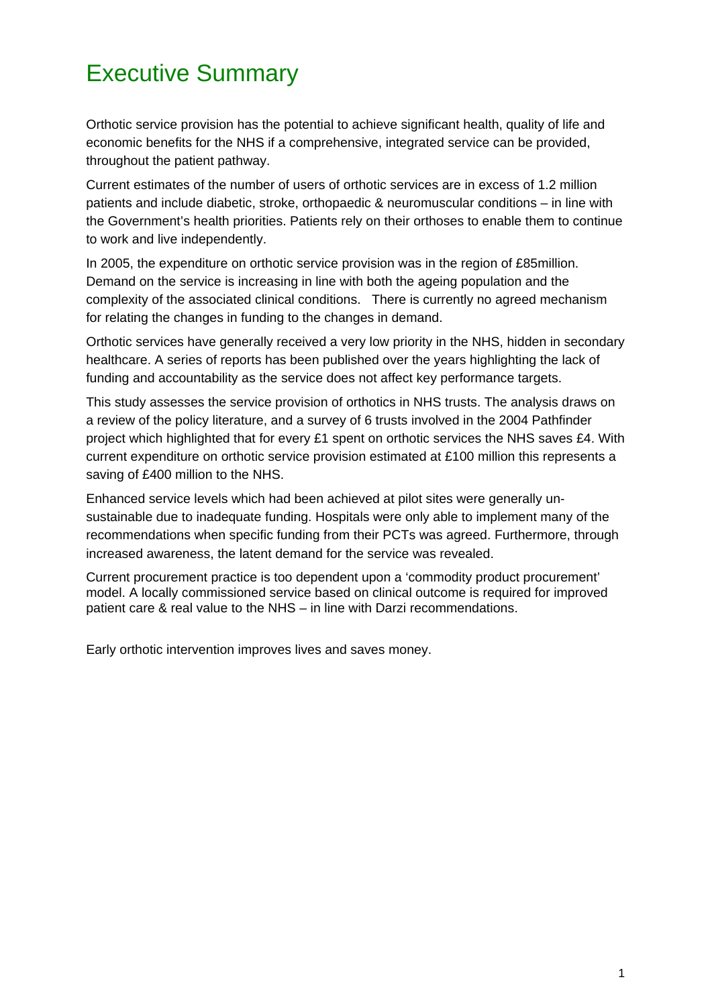# Executive Summary

Orthotic service provision has the potential to achieve significant health, quality of life and economic benefits for the NHS if a comprehensive, integrated service can be provided, throughout the patient pathway.

Current estimates of the number of users of orthotic services are in excess of 1.2 million patients and include diabetic, stroke, orthopaedic & neuromuscular conditions – in line with the Government's health priorities. Patients rely on their orthoses to enable them to continue to work and live independently.

In 2005, the expenditure on orthotic service provision was in the region of £85million. Demand on the service is increasing in line with both the ageing population and the complexity of the associated clinical conditions. There is currently no agreed mechanism for relating the changes in funding to the changes in demand.

Orthotic services have generally received a very low priority in the NHS, hidden in secondary healthcare. A series of reports has been published over the years highlighting the lack of funding and accountability as the service does not affect key performance targets.

This study assesses the service provision of orthotics in NHS trusts. The analysis draws on a review of the policy literature, and a survey of 6 trusts involved in the 2004 Pathfinder project which highlighted that for every £1 spent on orthotic services the NHS saves £4. With current expenditure on orthotic service provision estimated at £100 million this represents a saving of £400 million to the NHS.

Enhanced service levels which had been achieved at pilot sites were generally unsustainable due to inadequate funding. Hospitals were only able to implement many of the recommendations when specific funding from their PCTs was agreed. Furthermore, through increased awareness, the latent demand for the service was revealed.

Current procurement practice is too dependent upon a 'commodity product procurement' model. A locally commissioned service based on clinical outcome is required for improved patient care & real value to the NHS – in line with Darzi recommendations.

Early orthotic intervention improves lives and saves money.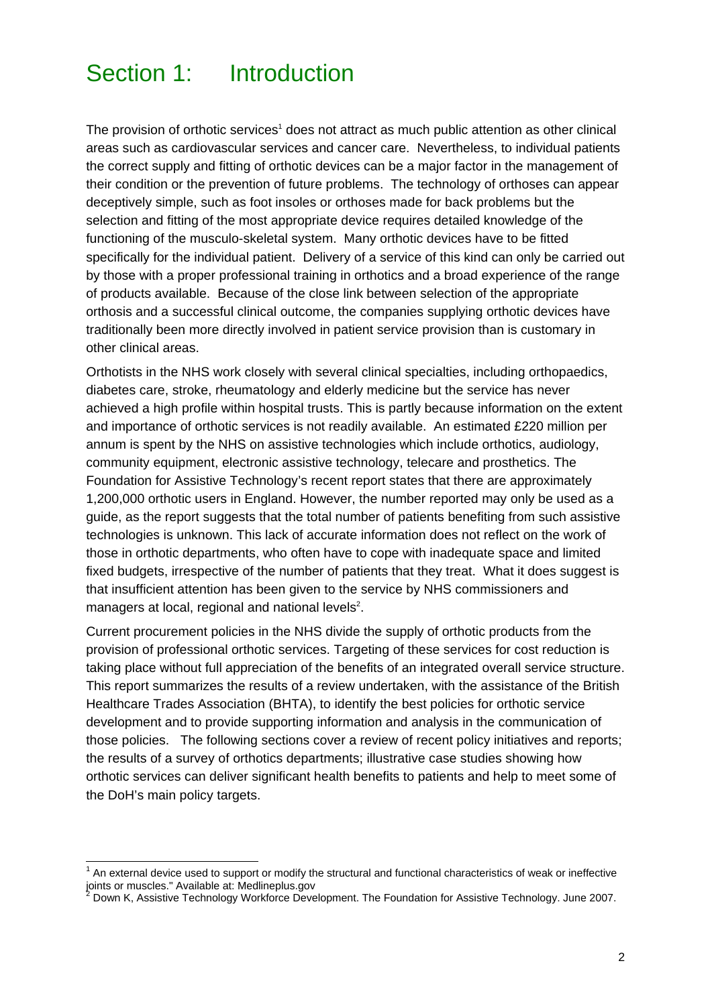# Section 1: Introduction

The provision of orthotic services<sup>1</sup> does not attract as much public attention as other clinical areas such as cardiovascular services and cancer care. Nevertheless, to individual patients the correct supply and fitting of orthotic devices can be a major factor in the management of their condition or the prevention of future problems. The technology of orthoses can appear deceptively simple, such as foot insoles or orthoses made for back problems but the selection and fitting of the most appropriate device requires detailed knowledge of the functioning of the musculo-skeletal system. Many orthotic devices have to be fitted specifically for the individual patient. Delivery of a service of this kind can only be carried out by those with a proper professional training in orthotics and a broad experience of the range of products available. Because of the close link between selection of the appropriate orthosis and a successful clinical outcome, the companies supplying orthotic devices have traditionally been more directly involved in patient service provision than is customary in other clinical areas.

Orthotists in the NHS work closely with several clinical specialties, including orthopaedics, diabetes care, stroke, rheumatology and elderly medicine but the service has never achieved a high profile within hospital trusts. This is partly because information on the extent and importance of orthotic services is not readily available. An estimated £220 million per annum is spent by the NHS on assistive technologies which include orthotics, audiology, community equipment, electronic assistive technology, telecare and prosthetics. The Foundation for Assistive Technology's recent report states that there are approximately 1,200,000 orthotic users in England. However, the number reported may only be used as a guide, as the report suggests that the total number of patients benefiting from such assistive technologies is unknown. This lack of accurate information does not reflect on the work of those in orthotic departments, who often have to cope with inadequate space and limited fixed budgets, irrespective of the number of patients that they treat. What it does suggest is that insufficient attention has been given to the service by NHS commissioners and managers at local, regional and national levels $2$ .

Current procurement policies in the NHS divide the supply of orthotic products from the provision of professional orthotic services. Targeting of these services for cost reduction is taking place without full appreciation of the benefits of an integrated overall service structure. This report summarizes the results of a review undertaken, with the assistance of the British Healthcare Trades Association (BHTA), to identify the best policies for orthotic service development and to provide supporting information and analysis in the communication of those policies. The following sections cover a review of recent policy initiatives and reports; the results of a survey of orthotics departments; illustrative case studies showing how orthotic services can deliver significant health benefits to patients and help to meet some of the DoH's main policy targets.

 1 An external device used to support or modify the structural and functional characteristics of weak or ineffective joints or muscles." Available at: Medlineplus.gov<br><sup>2</sup> Doun K. Assistive Technology Werkforee Dove

Down K, Assistive Technology Workforce Development. The Foundation for Assistive Technology. June 2007.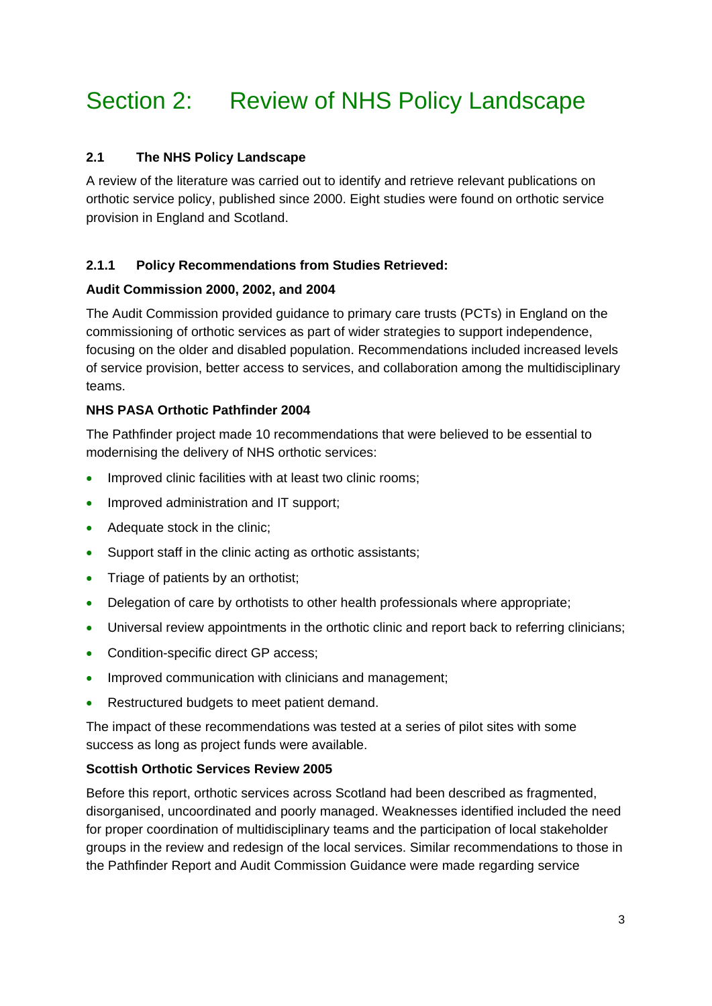# Section 2: Review of NHS Policy Landscape

## **2.1 The NHS Policy Landscape**

A review of the literature was carried out to identify and retrieve relevant publications on orthotic service policy, published since 2000. Eight studies were found on orthotic service provision in England and Scotland.

## **2.1.1 Policy Recommendations from Studies Retrieved:**

## **Audit Commission 2000, 2002, and 2004**

The Audit Commission provided guidance to primary care trusts (PCTs) in England on the commissioning of orthotic services as part of wider strategies to support independence, focusing on the older and disabled population. Recommendations included increased levels of service provision, better access to services, and collaboration among the multidisciplinary teams.

## **NHS PASA Orthotic Pathfinder 2004**

The Pathfinder project made 10 recommendations that were believed to be essential to modernising the delivery of NHS orthotic services:

- Improved clinic facilities with at least two clinic rooms:
- Improved administration and IT support;
- Adequate stock in the clinic;
- Support staff in the clinic acting as orthotic assistants;
- Triage of patients by an orthotist;
- Delegation of care by orthotists to other health professionals where appropriate;
- Universal review appointments in the orthotic clinic and report back to referring clinicians;
- Condition-specific direct GP access;
- Improved communication with clinicians and management;
- Restructured budgets to meet patient demand.

The impact of these recommendations was tested at a series of pilot sites with some success as long as project funds were available.

## **Scottish Orthotic Services Review 2005**

Before this report, orthotic services across Scotland had been described as fragmented, disorganised, uncoordinated and poorly managed. Weaknesses identified included the need for proper coordination of multidisciplinary teams and the participation of local stakeholder groups in the review and redesign of the local services. Similar recommendations to those in the Pathfinder Report and Audit Commission Guidance were made regarding service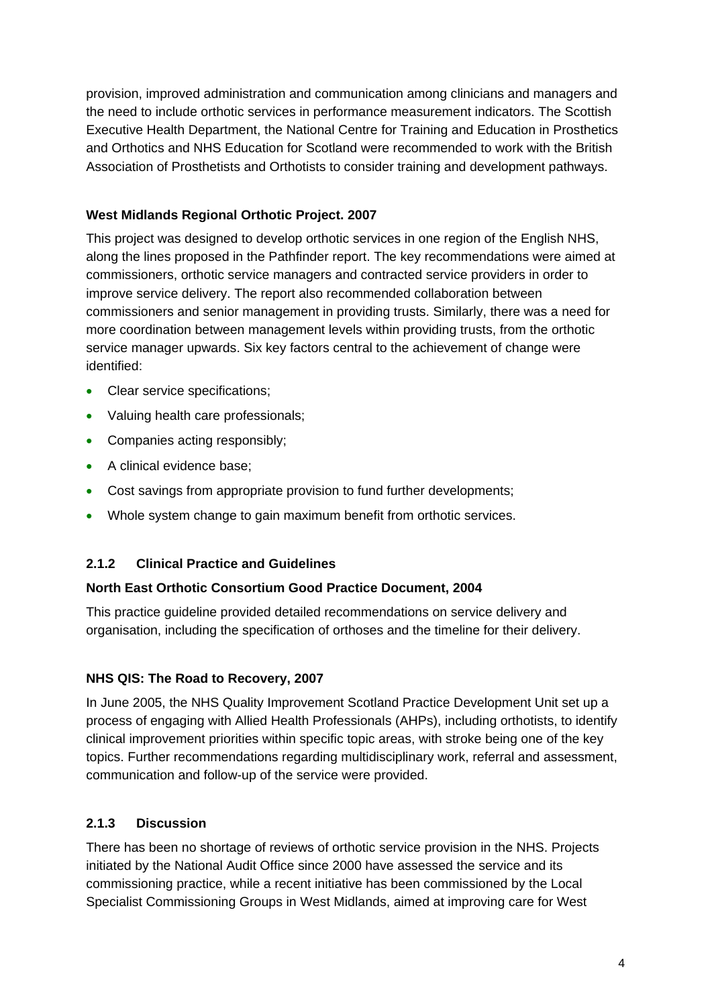provision, improved administration and communication among clinicians and managers and the need to include orthotic services in performance measurement indicators. The Scottish Executive Health Department, the National Centre for Training and Education in Prosthetics and Orthotics and NHS Education for Scotland were recommended to work with the British Association of Prosthetists and Orthotists to consider training and development pathways.

# **West Midlands Regional Orthotic Project. 2007**

This project was designed to develop orthotic services in one region of the English NHS, along the lines proposed in the Pathfinder report. The key recommendations were aimed at commissioners, orthotic service managers and contracted service providers in order to improve service delivery. The report also recommended collaboration between commissioners and senior management in providing trusts. Similarly, there was a need for more coordination between management levels within providing trusts, from the orthotic service manager upwards. Six key factors central to the achievement of change were identified:

- Clear service specifications;
- Valuing health care professionals:
- Companies acting responsibly;
- A clinical evidence base:
- Cost savings from appropriate provision to fund further developments;
- Whole system change to gain maximum benefit from orthotic services.

# **2.1.2 Clinical Practice and Guidelines**

# **North East Orthotic Consortium Good Practice Document, 2004**

This practice guideline provided detailed recommendations on service delivery and organisation, including the specification of orthoses and the timeline for their delivery.

# **NHS QIS: The Road to Recovery, 2007**

In June 2005, the NHS Quality Improvement Scotland Practice Development Unit set up a process of engaging with Allied Health Professionals (AHPs), including orthotists, to identify clinical improvement priorities within specific topic areas, with stroke being one of the key topics. Further recommendations regarding multidisciplinary work, referral and assessment, communication and follow-up of the service were provided.

# **2.1.3 Discussion**

There has been no shortage of reviews of orthotic service provision in the NHS. Projects initiated by the National Audit Office since 2000 have assessed the service and its commissioning practice, while a recent initiative has been commissioned by the Local Specialist Commissioning Groups in West Midlands, aimed at improving care for West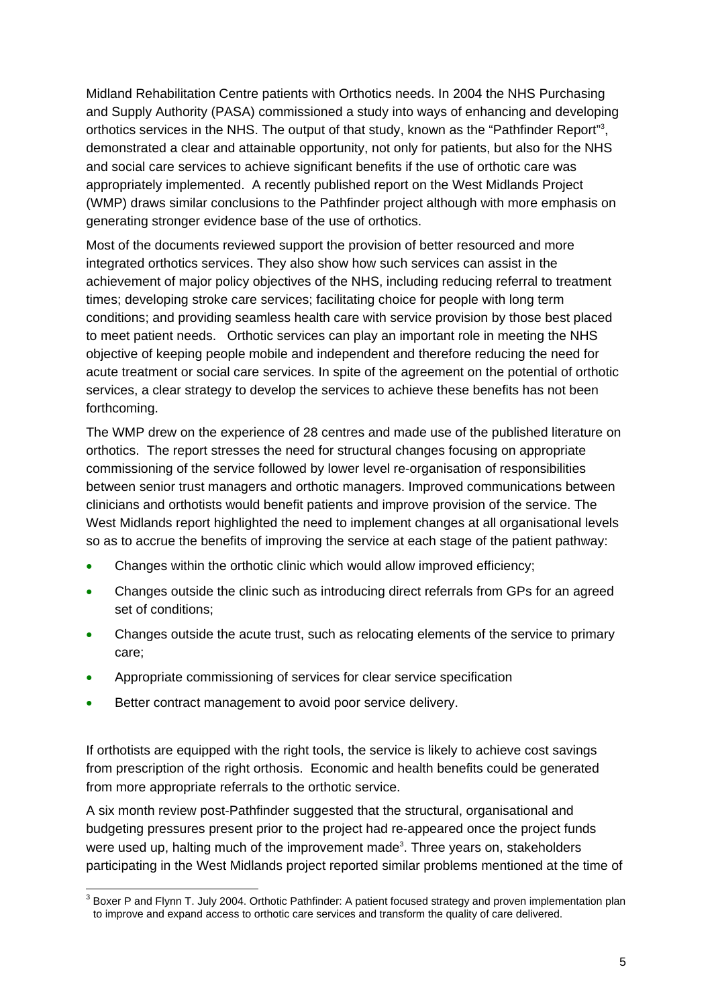Midland Rehabilitation Centre patients with Orthotics needs. In 2004 the NHS Purchasing and Supply Authority (PASA) commissioned a study into ways of enhancing and developing orthotics services in the NHS. The output of that study, known as the "Pathfinder Report"<sup>3</sup>, demonstrated a clear and attainable opportunity, not only for patients, but also for the NHS and social care services to achieve significant benefits if the use of orthotic care was appropriately implemented. A recently published report on the West Midlands Project (WMP) draws similar conclusions to the Pathfinder project although with more emphasis on generating stronger evidence base of the use of orthotics.

Most of the documents reviewed support the provision of better resourced and more integrated orthotics services. They also show how such services can assist in the achievement of major policy objectives of the NHS, including reducing referral to treatment times; developing stroke care services; facilitating choice for people with long term conditions; and providing seamless health care with service provision by those best placed to meet patient needs. Orthotic services can play an important role in meeting the NHS objective of keeping people mobile and independent and therefore reducing the need for acute treatment or social care services. In spite of the agreement on the potential of orthotic services, a clear strategy to develop the services to achieve these benefits has not been forthcoming.

The WMP drew on the experience of 28 centres and made use of the published literature on orthotics. The report stresses the need for structural changes focusing on appropriate commissioning of the service followed by lower level re-organisation of responsibilities between senior trust managers and orthotic managers. Improved communications between clinicians and orthotists would benefit patients and improve provision of the service. The West Midlands report highlighted the need to implement changes at all organisational levels so as to accrue the benefits of improving the service at each stage of the patient pathway:

- Changes within the orthotic clinic which would allow improved efficiency;
- Changes outside the clinic such as introducing direct referrals from GPs for an agreed set of conditions;
- Changes outside the acute trust, such as relocating elements of the service to primary care;
- Appropriate commissioning of services for clear service specification
- Better contract management to avoid poor service delivery.

If orthotists are equipped with the right tools, the service is likely to achieve cost savings from prescription of the right orthosis. Economic and health benefits could be generated from more appropriate referrals to the orthotic service.

A six month review post-Pathfinder suggested that the structural, organisational and budgeting pressures present prior to the project had re-appeared once the project funds were used up, halting much of the improvement made<sup>3</sup>. Three years on, stakeholders participating in the West Midlands project reported similar problems mentioned at the time of

 3 Boxer P and Flynn T. July 2004. Orthotic Pathfinder: A patient focused strategy and proven implementation plan to improve and expand access to orthotic care services and transform the quality of care delivered.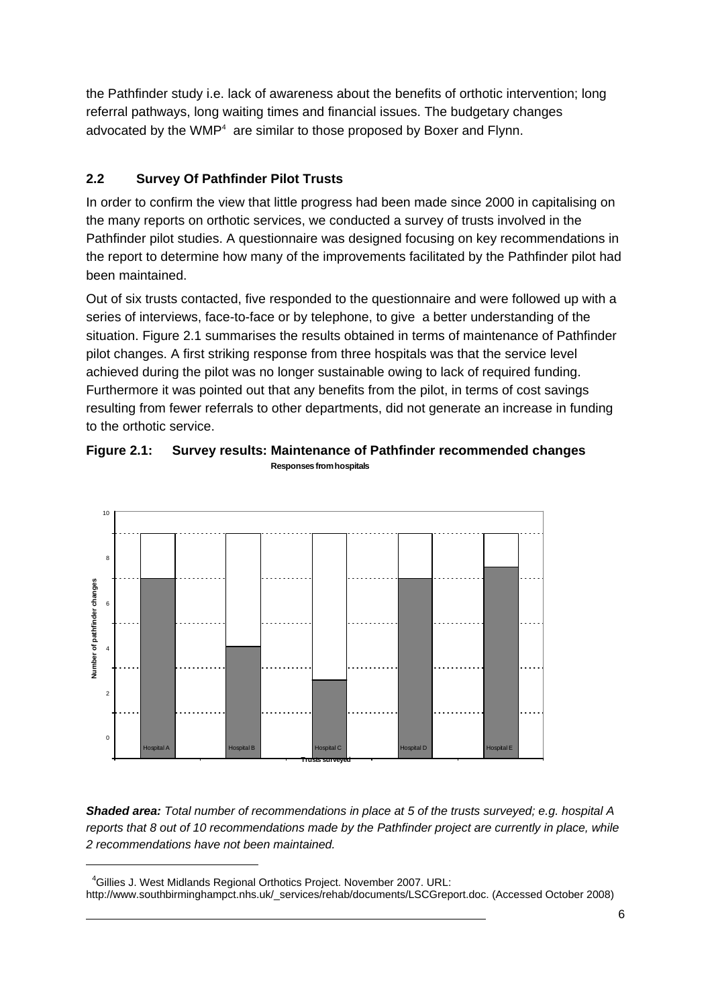the Pathfinder study i.e. lack of awareness about the benefits of orthotic intervention; long referral pathways, long waiting times and financial issues. The budgetary changes advocated by the WMP $4$  are similar to those proposed by Boxer and Flynn.

# **2.2 Survey Of Pathfinder Pilot Trusts**

In order to confirm the view that little progress had been made since 2000 in capitalising on the many reports on orthotic services, we conducted a survey of trusts involved in the Pathfinder pilot studies. A questionnaire was designed focusing on key recommendations in the report to determine how many of the improvements facilitated by the Pathfinder pilot had been maintained.

Out of six trusts contacted, five responded to the questionnaire and were followed up with a series of interviews, face-to-face or by telephone, to give a better understanding of the situation. Figure 2.1 summarises the results obtained in terms of maintenance of Pathfinder pilot changes. A first striking response from three hospitals was that the service level achieved during the pilot was no longer sustainable owing to lack of required funding. Furthermore it was pointed out that any benefits from the pilot, in terms of cost savings resulting from fewer referrals to other departments, did not generate an increase in funding to the orthotic service.



Hospital A Hospital B Hospital C Hospital D Hospital E **Trusts surveyed**

**Figure 2.1: Survey results: Maintenance of Pathfinder recommended changes Responses from hospitals**

*Shaded area: Total number of recommendations in place at 5 of the trusts surveyed; e.g. hospital A reports that 8 out of 10 recommendations made by the Pathfinder project are currently in place, while 2 recommendations have not been maintained.*

1

 $\overline{0}$ 

<sup>&</sup>lt;sup>4</sup>Gillies J. West Midlands Regional Orthotics Project. November 2007. URL: http://www.southbirminghampct.nhs.uk/\_services/rehab/documents/LSCGreport.doc. (Accessed October 2008)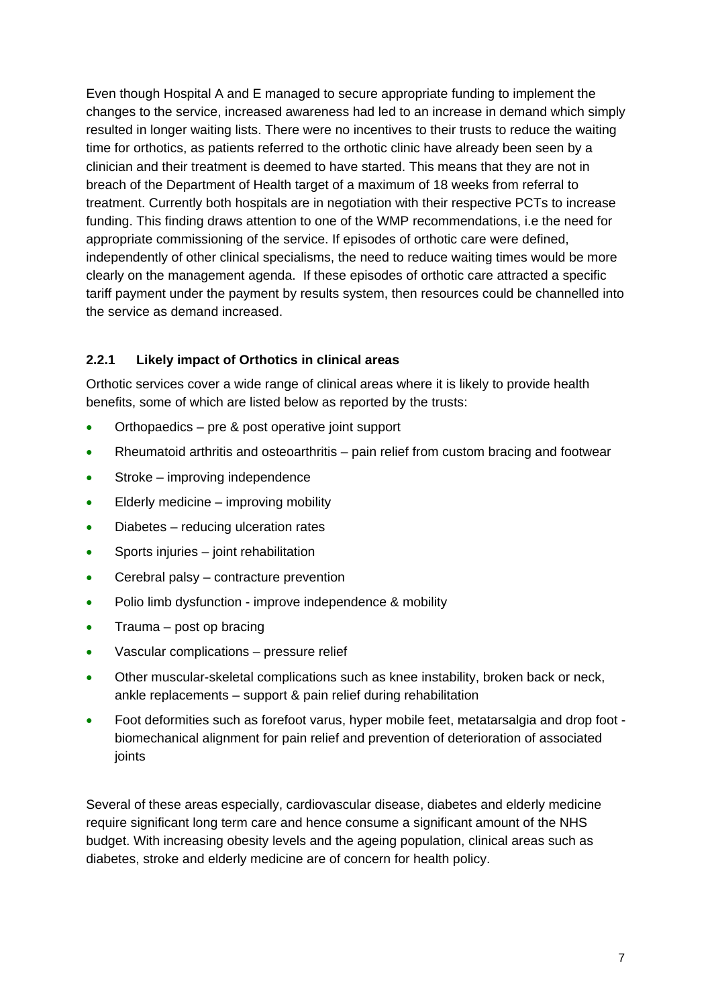Even though Hospital A and E managed to secure appropriate funding to implement the changes to the service, increased awareness had led to an increase in demand which simply resulted in longer waiting lists. There were no incentives to their trusts to reduce the waiting time for orthotics, as patients referred to the orthotic clinic have already been seen by a clinician and their treatment is deemed to have started. This means that they are not in breach of the Department of Health target of a maximum of 18 weeks from referral to treatment. Currently both hospitals are in negotiation with their respective PCTs to increase funding. This finding draws attention to one of the WMP recommendations, i.e the need for appropriate commissioning of the service. If episodes of orthotic care were defined, independently of other clinical specialisms, the need to reduce waiting times would be more clearly on the management agenda. If these episodes of orthotic care attracted a specific tariff payment under the payment by results system, then resources could be channelled into the service as demand increased.

# **2.2.1 Likely impact of Orthotics in clinical areas**

Orthotic services cover a wide range of clinical areas where it is likely to provide health benefits, some of which are listed below as reported by the trusts:

- Orthopaedics pre & post operative joint support
- Rheumatoid arthritis and osteoarthritis pain relief from custom bracing and footwear
- Stroke improving independence
- Elderly medicine improving mobility
- Diabetes reducing ulceration rates
- Sports injuries joint rehabilitation
- Cerebral palsy contracture prevention
- Polio limb dysfunction improve independence & mobility
- Trauma post op bracing
- Vascular complications pressure relief
- Other muscular-skeletal complications such as knee instability, broken back or neck, ankle replacements – support & pain relief during rehabilitation
- Foot deformities such as forefoot varus, hyper mobile feet, metatarsalgia and drop foot biomechanical alignment for pain relief and prevention of deterioration of associated joints

Several of these areas especially, cardiovascular disease, diabetes and elderly medicine require significant long term care and hence consume a significant amount of the NHS budget. With increasing obesity levels and the ageing population, clinical areas such as diabetes, stroke and elderly medicine are of concern for health policy.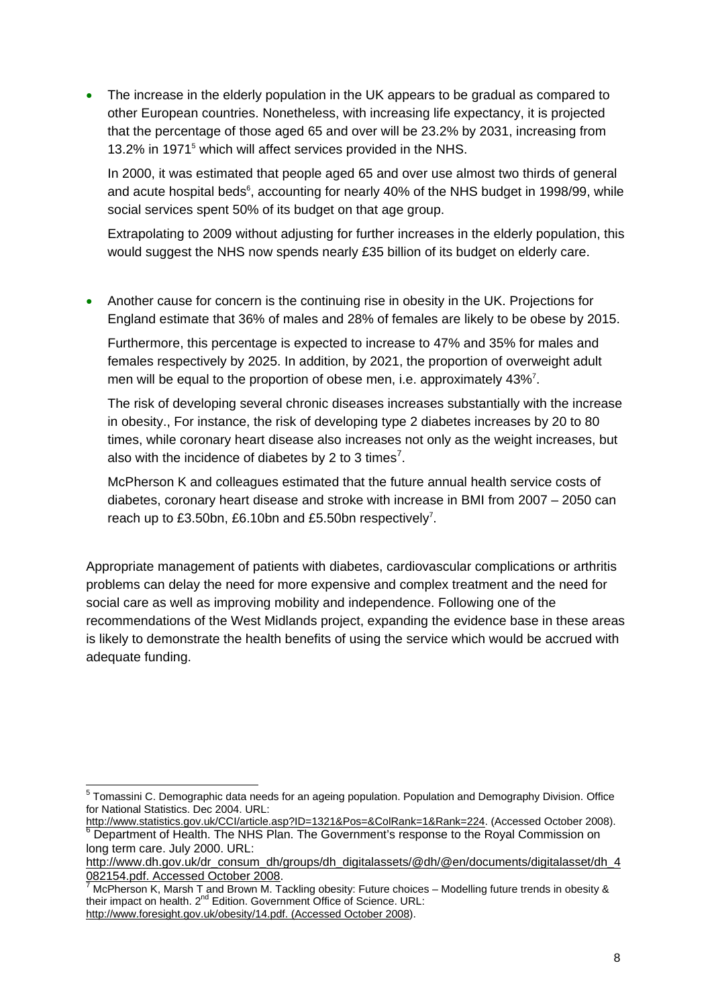The increase in the elderly population in the UK appears to be gradual as compared to other European countries. Nonetheless, with increasing life expectancy, it is projected that the percentage of those aged 65 and over will be 23.2% by 2031, increasing from 13.2% in 1971<sup>5</sup> which will affect services provided in the NHS.

In 2000, it was estimated that people aged 65 and over use almost two thirds of general and acute hospital beds<sup>6</sup>, accounting for nearly 40% of the NHS budget in 1998/99, while social services spent 50% of its budget on that age group.

Extrapolating to 2009 without adjusting for further increases in the elderly population, this would suggest the NHS now spends nearly £35 billion of its budget on elderly care.

• Another cause for concern is the continuing rise in obesity in the UK. Projections for England estimate that 36% of males and 28% of females are likely to be obese by 2015.

Furthermore, this percentage is expected to increase to 47% and 35% for males and females respectively by 2025. In addition, by 2021, the proportion of overweight adult men will be equal to the proportion of obese men, i.e. approximately 43%<sup>7</sup>.

The risk of developing several chronic diseases increases substantially with the increase in obesity., For instance, the risk of developing type 2 diabetes increases by 20 to 80 times, while coronary heart disease also increases not only as the weight increases, but also with the incidence of diabetes by 2 to 3 times<sup>7</sup>.

McPherson K and colleagues estimated that the future annual health service costs of diabetes, coronary heart disease and stroke with increase in BMI from 2007 – 2050 can reach up to £3.50bn, £6.10bn and £5.50bn respectively<sup>7</sup>.

Appropriate management of patients with diabetes, cardiovascular complications or arthritis problems can delay the need for more expensive and complex treatment and the need for social care as well as improving mobility and independence. Following one of the recommendations of the West Midlands project, expanding the evidence base in these areas is likely to demonstrate the health benefits of using the service which would be accrued with adequate funding.

 5 Tomassini C. Demographic data needs for an ageing population. Population and Demography Division. Office for National Statistics. Dec 2004. URL:

http://www.statistics.gov.uk/CCI/article.asp?ID=1321&Pos=&ColRank=1&Rank=224. (Accessed October 2008).  $6$  Department of Health. The NHS Plan. The Government's response to the Royal Commission on long term care. July 2000. URL:

http://www.dh.gov.uk/dr\_consum\_dh/groups/dh\_digitalassets/@dh/@en/documents/digitalasset/dh\_4 082154.pdf. Accessed October 2008.

McPherson K, Marsh T and Brown M. Tackling obesity: Future choices – Modelling future trends in obesity & their impact on health. 2nd Edition. Government Office of Science. URL: http://www.foresight.gov.uk/obesity/14.pdf. (Accessed October 2008).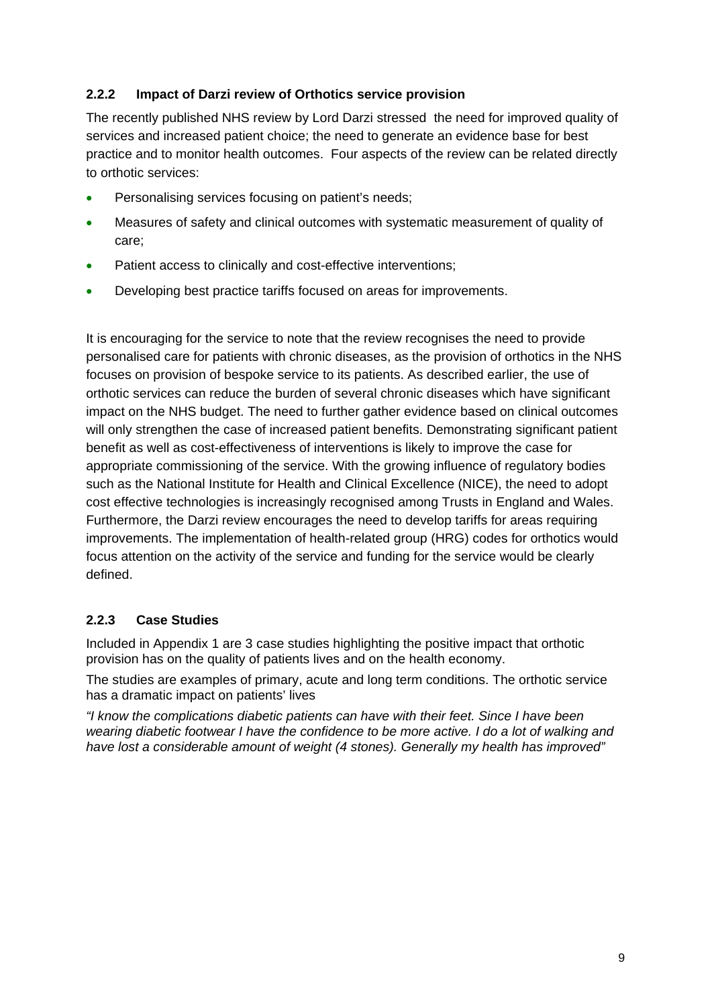## **2.2.2 Impact of Darzi review of Orthotics service provision**

The recently published NHS review by Lord Darzi stressed the need for improved quality of services and increased patient choice; the need to generate an evidence base for best practice and to monitor health outcomes. Four aspects of the review can be related directly to orthotic services:

- Personalising services focusing on patient's needs;
- Measures of safety and clinical outcomes with systematic measurement of quality of care;
- Patient access to clinically and cost-effective interventions;
- Developing best practice tariffs focused on areas for improvements.

It is encouraging for the service to note that the review recognises the need to provide personalised care for patients with chronic diseases, as the provision of orthotics in the NHS focuses on provision of bespoke service to its patients. As described earlier, the use of orthotic services can reduce the burden of several chronic diseases which have significant impact on the NHS budget. The need to further gather evidence based on clinical outcomes will only strengthen the case of increased patient benefits. Demonstrating significant patient benefit as well as cost-effectiveness of interventions is likely to improve the case for appropriate commissioning of the service. With the growing influence of regulatory bodies such as the National Institute for Health and Clinical Excellence (NICE), the need to adopt cost effective technologies is increasingly recognised among Trusts in England and Wales. Furthermore, the Darzi review encourages the need to develop tariffs for areas requiring improvements. The implementation of health-related group (HRG) codes for orthotics would focus attention on the activity of the service and funding for the service would be clearly defined.

# **2.2.3 Case Studies**

Included in Appendix 1 are 3 case studies highlighting the positive impact that orthotic provision has on the quality of patients lives and on the health economy.

The studies are examples of primary, acute and long term conditions. The orthotic service has a dramatic impact on patients' lives

*"I know the complications diabetic patients can have with their feet. Since I have been wearing diabetic footwear I have the confidence to be more active. I do a lot of walking and have lost a considerable amount of weight (4 stones). Generally my health has improved"*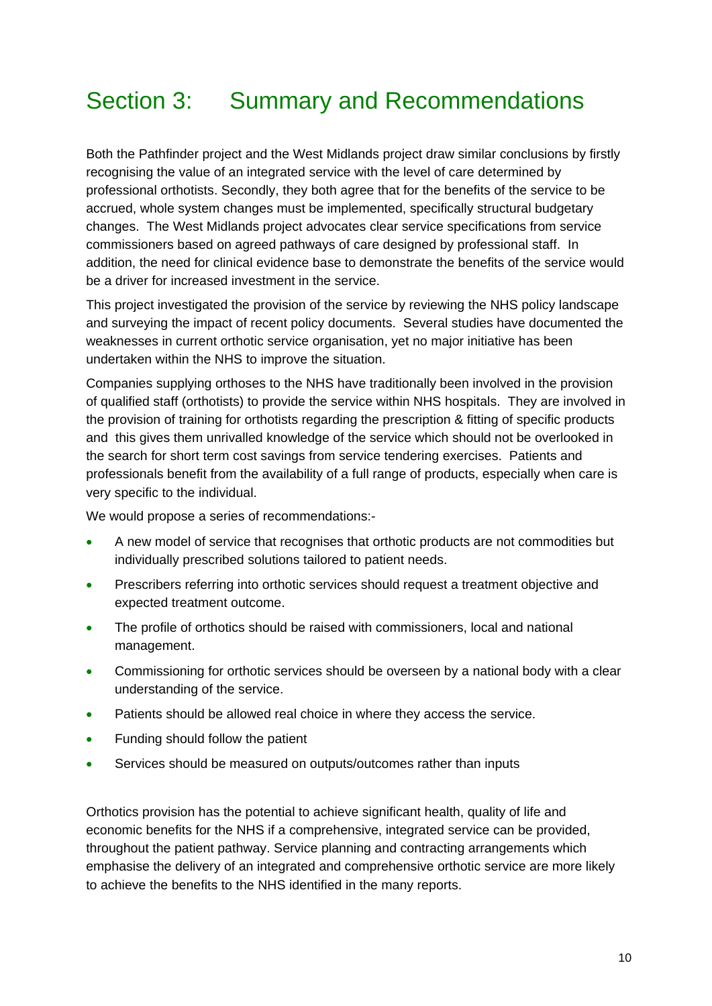# Section 3: Summary and Recommendations

Both the Pathfinder project and the West Midlands project draw similar conclusions by firstly recognising the value of an integrated service with the level of care determined by professional orthotists. Secondly, they both agree that for the benefits of the service to be accrued, whole system changes must be implemented, specifically structural budgetary changes. The West Midlands project advocates clear service specifications from service commissioners based on agreed pathways of care designed by professional staff. In addition, the need for clinical evidence base to demonstrate the benefits of the service would be a driver for increased investment in the service.

This project investigated the provision of the service by reviewing the NHS policy landscape and surveying the impact of recent policy documents. Several studies have documented the weaknesses in current orthotic service organisation, yet no major initiative has been undertaken within the NHS to improve the situation.

Companies supplying orthoses to the NHS have traditionally been involved in the provision of qualified staff (orthotists) to provide the service within NHS hospitals. They are involved in the provision of training for orthotists regarding the prescription & fitting of specific products and this gives them unrivalled knowledge of the service which should not be overlooked in the search for short term cost savings from service tendering exercises. Patients and professionals benefit from the availability of a full range of products, especially when care is very specific to the individual.

We would propose a series of recommendations:-

- A new model of service that recognises that orthotic products are not commodities but individually prescribed solutions tailored to patient needs.
- Prescribers referring into orthotic services should request a treatment objective and expected treatment outcome.
- The profile of orthotics should be raised with commissioners, local and national management.
- Commissioning for orthotic services should be overseen by a national body with a clear understanding of the service.
- Patients should be allowed real choice in where they access the service.
- Funding should follow the patient
- Services should be measured on outputs/outcomes rather than inputs

Orthotics provision has the potential to achieve significant health, quality of life and economic benefits for the NHS if a comprehensive, integrated service can be provided, throughout the patient pathway. Service planning and contracting arrangements which emphasise the delivery of an integrated and comprehensive orthotic service are more likely to achieve the benefits to the NHS identified in the many reports.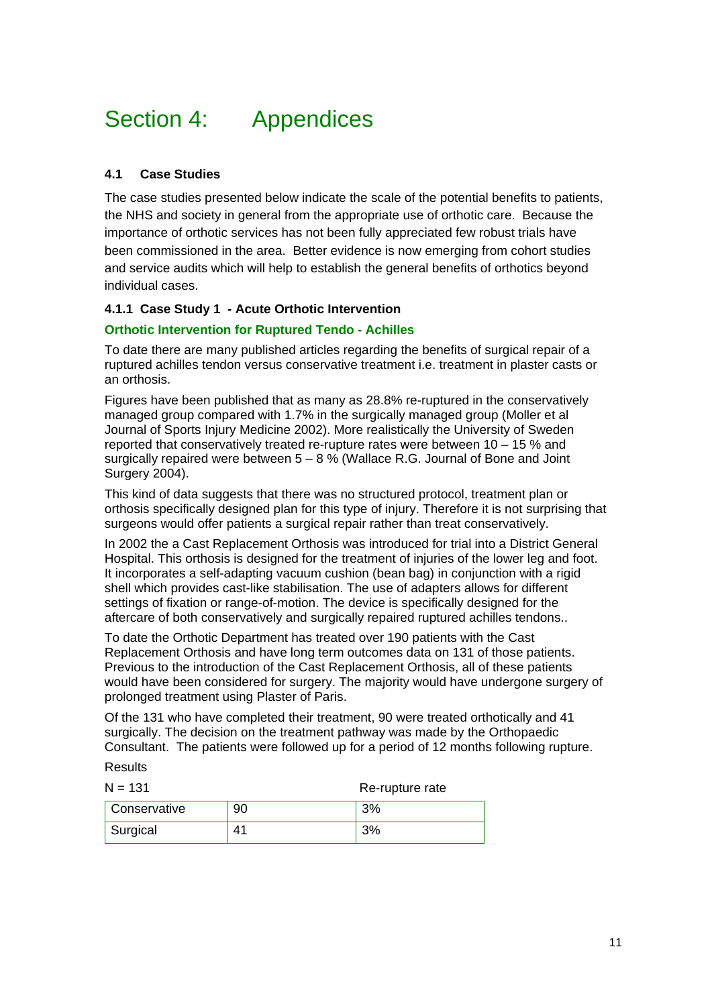# Section 4: Appendices

## **4.1 Case Studies**

The case studies presented below indicate the scale of the potential benefits to patients, the NHS and society in general from the appropriate use of orthotic care. Because the importance of orthotic services has not been fully appreciated few robust trials have been commissioned in the area. Better evidence is now emerging from cohort studies and service audits which will help to establish the general benefits of orthotics beyond individual cases.

### **4.1.1 Case Study 1 - Acute Orthotic Intervention**

#### **Orthotic Intervention for Ruptured Tendo - Achilles**

To date there are many published articles regarding the benefits of surgical repair of a ruptured achilles tendon versus conservative treatment i.e. treatment in plaster casts or an orthosis.

Figures have been published that as many as 28.8% re-ruptured in the conservatively managed group compared with 1.7% in the surgically managed group (Moller et al Journal of Sports Injury Medicine 2002). More realistically the University of Sweden reported that conservatively treated re-rupture rates were between 10 – 15 % and surgically repaired were between  $5 - 8$  % (Wallace R.G. Journal of Bone and Joint Surgery 2004).

This kind of data suggests that there was no structured protocol, treatment plan or orthosis specifically designed plan for this type of injury. Therefore it is not surprising that surgeons would offer patients a surgical repair rather than treat conservatively.

In 2002 the a Cast Replacement Orthosis was introduced for trial into a District General Hospital. This orthosis is designed for the treatment of injuries of the lower leg and foot. It incorporates a self-adapting vacuum cushion (bean bag) in conjunction with a rigid shell which provides cast-like stabilisation. The use of adapters allows for different settings of fixation or range-of-motion. The device is specifically designed for the aftercare of both conservatively and surgically repaired ruptured achilles tendons..

To date the Orthotic Department has treated over 190 patients with the Cast Replacement Orthosis and have long term outcomes data on 131 of those patients. Previous to the introduction of the Cast Replacement Orthosis, all of these patients would have been considered for surgery. The majority would have undergone surgery of prolonged treatment using Plaster of Paris.

Of the 131 who have completed their treatment, 90 were treated orthotically and 41 surgically. The decision on the treatment pathway was made by the Orthopaedic Consultant. The patients were followed up for a period of 12 months following rupture.

# Results

| $N = 131$             |    | Re-rupture rate |  |
|-----------------------|----|-----------------|--|
| Conservative          | 90 | 3%              |  |
| <sup>I</sup> Surgical | 41 | 3%              |  |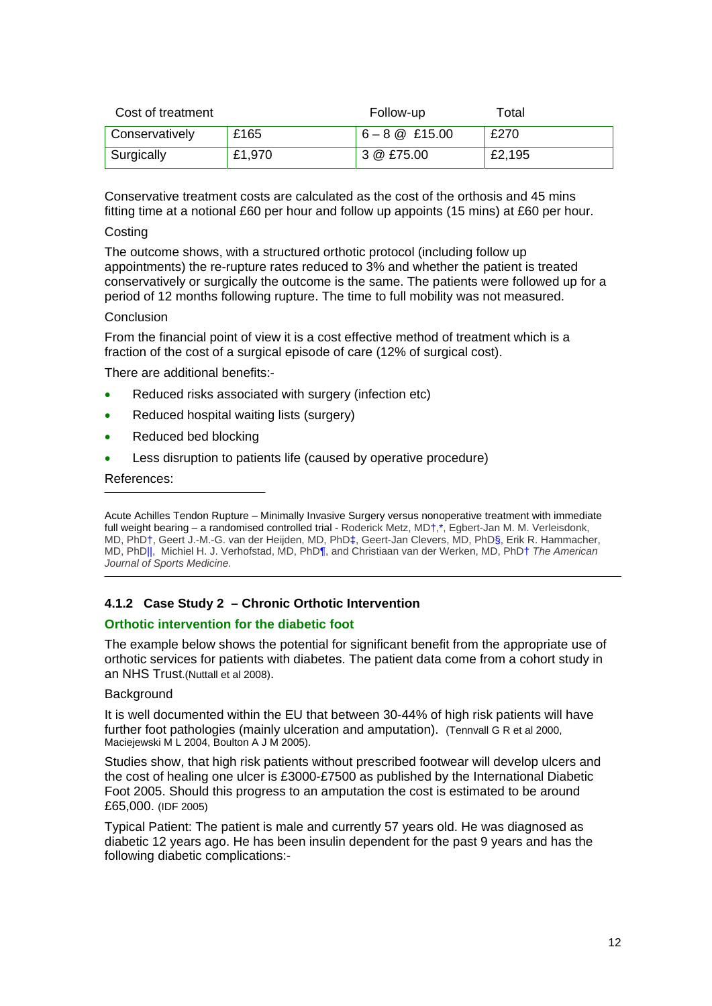| Cost of treatment |        | Follow-up        | Total  |
|-------------------|--------|------------------|--------|
| Conservatively    | £165   | $6 - 8$ @ £15.00 | £270   |
| Surgically        | £1,970 | 3 @ £75.00       | £2,195 |

Conservative treatment costs are calculated as the cost of the orthosis and 45 mins fitting time at a notional £60 per hour and follow up appoints (15 mins) at £60 per hour.

#### **Costing**

The outcome shows, with a structured orthotic protocol (including follow up appointments) the re-rupture rates reduced to 3% and whether the patient is treated conservatively or surgically the outcome is the same. The patients were followed up for a period of 12 months following rupture. The time to full mobility was not measured.

#### **Conclusion**

From the financial point of view it is a cost effective method of treatment which is a fraction of the cost of a surgical episode of care (12% of surgical cost).

There are additional benefits:-

- Reduced risks associated with surgery (infection etc)
- Reduced hospital waiting lists (surgery)
- Reduced bed blocking
- Less disruption to patients life (caused by operative procedure)

#### References:

Acute Achilles Tendon Rupture – Minimally Invasive Surgery versus nonoperative treatment with immediate full weight bearing – a randomised controlled trial - Roderick Metz, MD†,\*, Egbert-Jan M. M. Verleisdonk, MD, PhD†, Geert J.-M.-G. van der Heijden, MD, PhD‡, Geert-Jan Clevers, MD, PhD§, Erik R. Hammacher, MD, PhD||, Michiel H. J. Verhofstad, MD, PhD¶, and Christiaan van der Werken, MD, PhD† *The American Journal of Sports Medicine.* 

#### **4.1.2 Case Study 2 – Chronic Orthotic Intervention**

#### **Orthotic intervention for the diabetic foot**

The example below shows the potential for significant benefit from the appropriate use of orthotic services for patients with diabetes. The patient data come from a cohort study in an NHS Trust.(Nuttall et al 2008).

#### **Background**

It is well documented within the EU that between 30-44% of high risk patients will have further foot pathologies (mainly ulceration and amputation). (Tennvall G R et al 2000, Maciejewski M L 2004, Boulton A J M 2005).

Studies show, that high risk patients without prescribed footwear will develop ulcers and the cost of healing one ulcer is £3000-£7500 as published by the International Diabetic Foot 2005. Should this progress to an amputation the cost is estimated to be around £65,000. (IDF 2005)

Typical Patient: The patient is male and currently 57 years old. He was diagnosed as diabetic 12 years ago. He has been insulin dependent for the past 9 years and has the following diabetic complications:-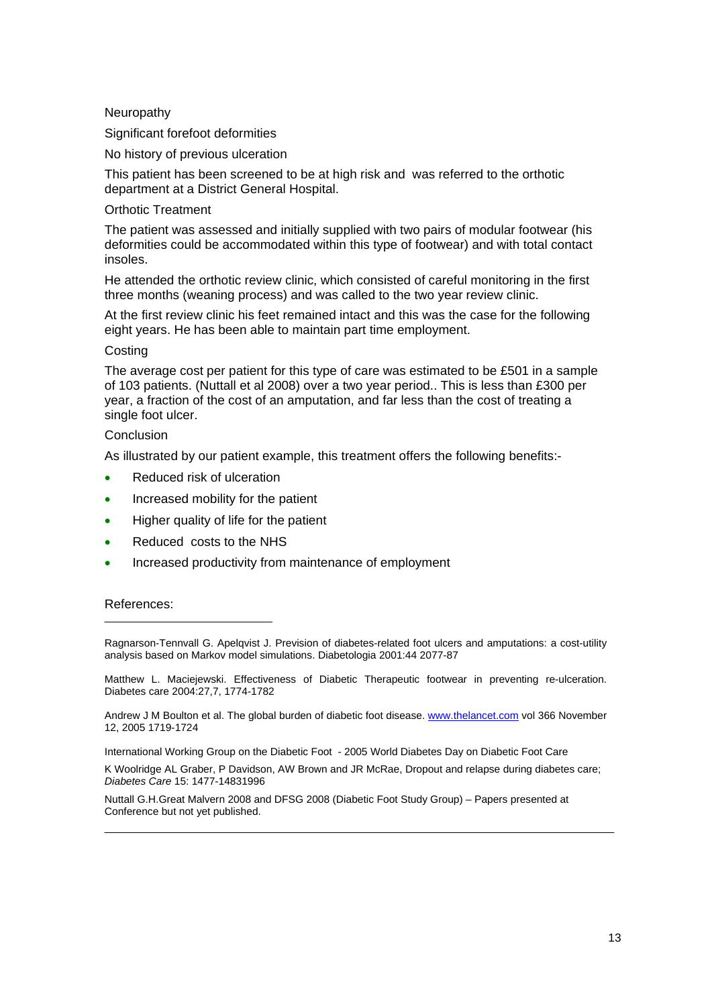Neuropathy

Significant forefoot deformities

No history of previous ulceration

This patient has been screened to be at high risk and was referred to the orthotic department at a District General Hospital.

#### Orthotic Treatment

The patient was assessed and initially supplied with two pairs of modular footwear (his deformities could be accommodated within this type of footwear) and with total contact insoles.

He attended the orthotic review clinic, which consisted of careful monitoring in the first three months (weaning process) and was called to the two year review clinic.

At the first review clinic his feet remained intact and this was the case for the following eight years. He has been able to maintain part time employment.

#### **Costing**

The average cost per patient for this type of care was estimated to be £501 in a sample of 103 patients. (Nuttall et al 2008) over a two year period.. This is less than £300 per year, a fraction of the cost of an amputation, and far less than the cost of treating a single foot ulcer.

#### Conclusion

As illustrated by our patient example, this treatment offers the following benefits:-

- Reduced risk of ulceration
- Increased mobility for the patient
- Higher quality of life for the patient
- Reduced costs to the NHS
- Increased productivity from maintenance of employment

#### References:

Ragnarson-Tennvall G. Apelqvist J. Prevision of diabetes-related foot ulcers and amputations: a cost-utility analysis based on Markov model simulations. Diabetologia 2001:44 2077-87

Matthew L. Maciejewski. Effectiveness of Diabetic Therapeutic footwear in preventing re-ulceration. Diabetes care 2004:27,7, 1774-1782

Andrew J M Boulton et al. The global burden of diabetic foot disease. www.thelancet.com vol 366 November 12, 2005 1719-1724

International Working Group on the Diabetic Foot - 2005 World Diabetes Day on Diabetic Foot Care

K Woolridge AL Graber, P Davidson, AW Brown and JR McRae, Dropout and relapse during diabetes care; *Diabetes Care* 15: 1477-14831996

Nuttall G.H.Great Malvern 2008 and DFSG 2008 (Diabetic Foot Study Group) – Papers presented at Conference but not yet published.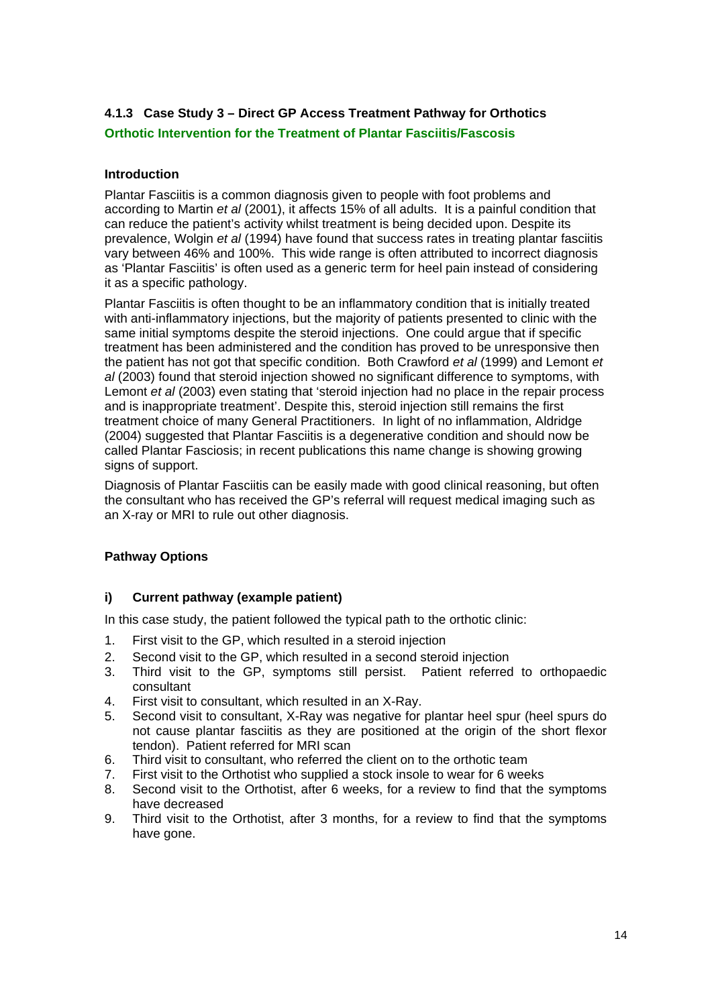# **4.1.3 Case Study 3 – Direct GP Access Treatment Pathway for Orthotics**

**Orthotic Intervention for the Treatment of Plantar Fasciitis/Fascosis** 

### **Introduction**

Plantar Fasciitis is a common diagnosis given to people with foot problems and according to Martin *et al* (2001), it affects 15% of all adults. It is a painful condition that can reduce the patient's activity whilst treatment is being decided upon. Despite its prevalence, Wolgin *et al* (1994) have found that success rates in treating plantar fasciitis vary between 46% and 100%. This wide range is often attributed to incorrect diagnosis as 'Plantar Fasciitis' is often used as a generic term for heel pain instead of considering it as a specific pathology.

Plantar Fasciitis is often thought to be an inflammatory condition that is initially treated with anti-inflammatory injections, but the majority of patients presented to clinic with the same initial symptoms despite the steroid injections. One could argue that if specific treatment has been administered and the condition has proved to be unresponsive then the patient has not got that specific condition. Both Crawford *et al* (1999) and Lemont *et al* (2003) found that steroid injection showed no significant difference to symptoms, with Lemont *et al* (2003) even stating that 'steroid injection had no place in the repair process and is inappropriate treatment'. Despite this, steroid injection still remains the first treatment choice of many General Practitioners. In light of no inflammation, Aldridge (2004) suggested that Plantar Fasciitis is a degenerative condition and should now be called Plantar Fasciosis; in recent publications this name change is showing growing signs of support.

Diagnosis of Plantar Fasciitis can be easily made with good clinical reasoning, but often the consultant who has received the GP's referral will request medical imaging such as an X-ray or MRI to rule out other diagnosis.

## **Pathway Options**

#### **i) Current pathway (example patient)**

In this case study, the patient followed the typical path to the orthotic clinic:

- 1. First visit to the GP, which resulted in a steroid injection
- 2. Second visit to the GP, which resulted in a second steroid injection
- 3. Third visit to the GP, symptoms still persist. Patient referred to orthopaedic consultant
- 4. First visit to consultant, which resulted in an X-Ray.
- 5. Second visit to consultant, X-Ray was negative for plantar heel spur (heel spurs do not cause plantar fasciitis as they are positioned at the origin of the short flexor tendon). Patient referred for MRI scan
- 6. Third visit to consultant, who referred the client on to the orthotic team
- 7. First visit to the Orthotist who supplied a stock insole to wear for 6 weeks
- 8. Second visit to the Orthotist, after 6 weeks, for a review to find that the symptoms have decreased
- 9. Third visit to the Orthotist, after 3 months, for a review to find that the symptoms have gone.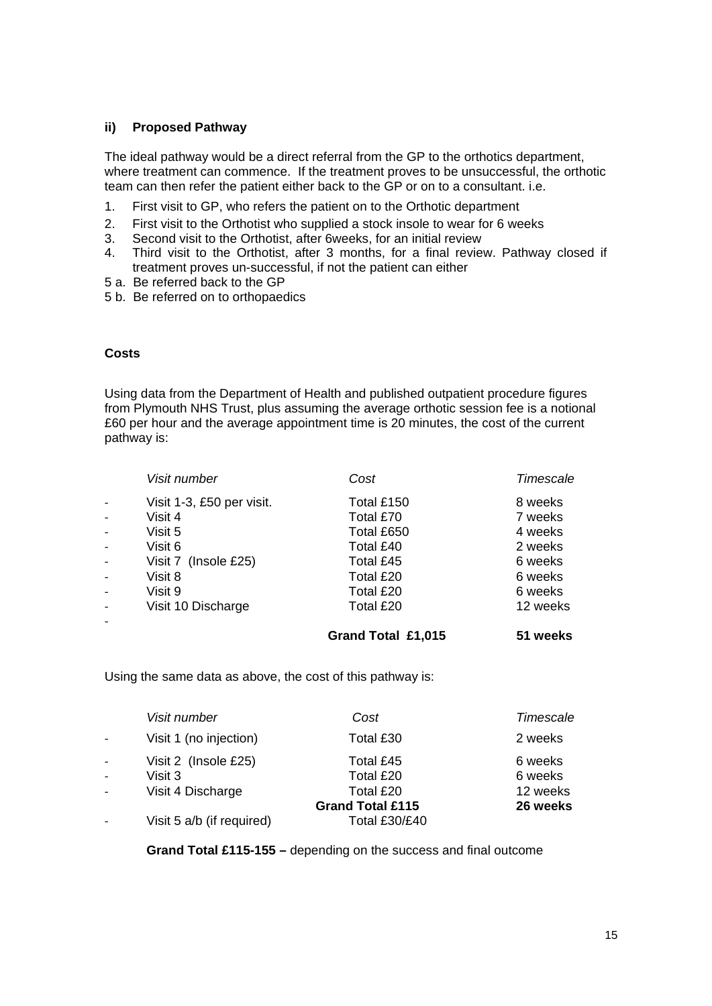#### **ii) Proposed Pathway**

The ideal pathway would be a direct referral from the GP to the orthotics department, where treatment can commence. If the treatment proves to be unsuccessful, the orthotic team can then refer the patient either back to the GP or on to a consultant. i.e.

- 1. First visit to GP, who refers the patient on to the Orthotic department
- 2. First visit to the Orthotist who supplied a stock insole to wear for 6 weeks
- 3. Second visit to the Orthotist, after 6weeks, for an initial review
- 4. Third visit to the Orthotist, after 3 months, for a final review. Pathway closed if treatment proves un-successful, if not the patient can either
- 5 a. Be referred back to the GP
- 5 b. Be referred on to orthopaedics

#### **Costs**

Using data from the Department of Health and published outpatient procedure figures from Plymouth NHS Trust, plus assuming the average orthotic session fee is a notional £60 per hour and the average appointment time is 20 minutes, the cost of the current pathway is:

| Visit number              | Cost       | Timescale |
|---------------------------|------------|-----------|
| Visit 1-3, £50 per visit. | Total £150 | 8 weeks   |
| Visit 4                   | Total £70  | 7 weeks   |
| Visit 5                   | Total £650 | 4 weeks   |
| Visit 6                   | Total £40  | 2 weeks   |
| Visit 7 (Insole £25)      | Total £45  | 6 weeks   |
| Visit 8                   | Total £20  | 6 weeks   |
| Visit 9                   | Total £20  | 6 weeks   |
| Visit 10 Discharge        | Total £20  | 12 weeks  |
|                           |            |           |

 **Grand Total £1,015 51 weeks** 

Using the same data as above, the cost of this pathway is:

|                | Visit number              | Cost                    | Timescale |
|----------------|---------------------------|-------------------------|-----------|
| $\omega$       | Visit 1 (no injection)    | Total £30               | 2 weeks   |
| $\sim$         | Visit 2 (Insole £25)      | Total £45               | 6 weeks   |
| $\mathbf{r}$   | Visit 3                   | Total £20               | 6 weeks   |
| $\mathbb{Z}^2$ | Visit 4 Discharge         | Total £20               | 12 weeks  |
|                |                           | <b>Grand Total £115</b> | 26 weeks  |
|                | Visit 5 a/b (if required) | Total £30/£40           |           |

 **Grand Total £115-155 –** depending on the success and final outcome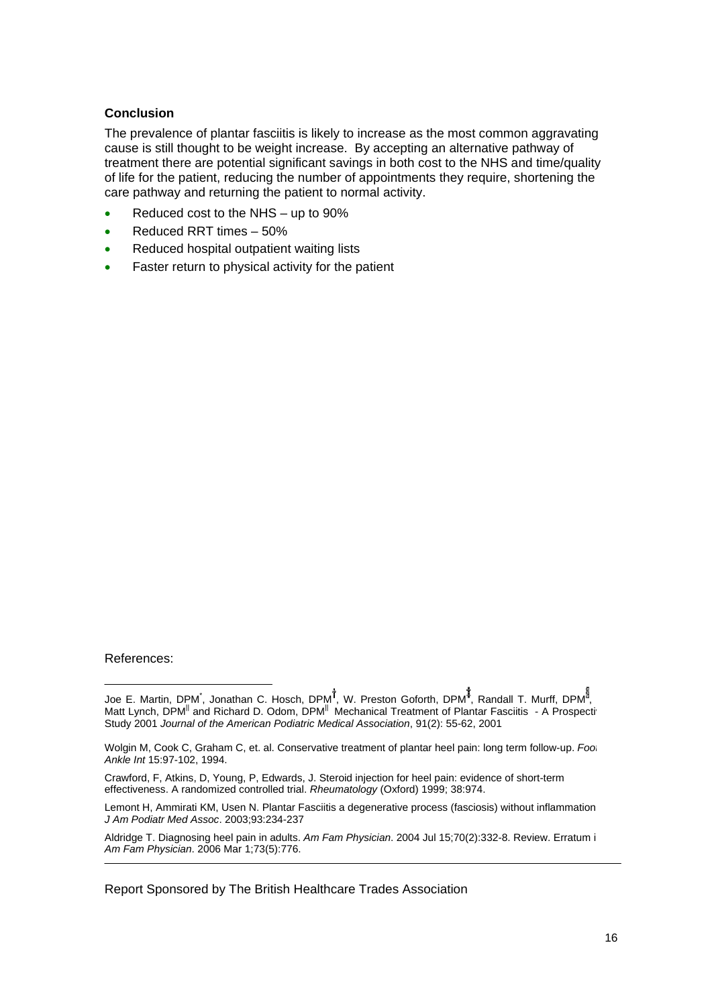#### **Conclusion**

The prevalence of plantar fasciitis is likely to increase as the most common aggravating cause is still thought to be weight increase. By accepting an alternative pathway of treatment there are potential significant savings in both cost to the NHS and time/quality of life for the patient, reducing the number of appointments they require, shortening the care pathway and returning the patient to normal activity.

- Reduced cost to the NHS up to 90%
- Reduced RRT times 50%
- Reduced hospital outpatient waiting lists
- Faster return to physical activity for the patient

#### References:

Crawford, F, Atkins, D, Young, P, Edwards, J. Steroid injection for heel pain: evidence of short-term effectiveness. A randomized controlled trial. *Rheumatology* (Oxford) 1999; 38:974.

Lemont H, Ammirati KM, Usen N. Plantar Fasciitis a degenerative process (fasciosis) without inflammation. *J Am Podiatr Med Assoc*. 2003;93:234-237

Aldridge T. Diagnosing heel pain in adults. *Am Fam Physician*. 2004 Jul 15;70(2):332-8. Review. Erratum in: *Am Fam Physician*. 2006 Mar 1;73(5):776.

Report Sponsored by The British Healthcare Trades Association

Joe E. Martin, DPM<sup>\*</sup>, Jonathan C. Hosch, DPM<sup>T</sup>, W. Preston Goforth, DPM<sup>#</sup>, Randall T. Murff, DPM<sup>3</sup>, Matt Lynch, DPM<sup>||</sup> and Richard D. Odom, DPM<sup>||</sup> Mechanical Treatment of Plantar Fasciitis - A Prospecti Study 2001 *Journal of the American Podiatric Medical Association*, 91(2): 55-62, 2001

Wolgin M, Cook C, Graham C, et. al. Conservative treatment of plantar heel pain: long term follow-up. *Foot Ankle Int* 15:97-102, 1994.